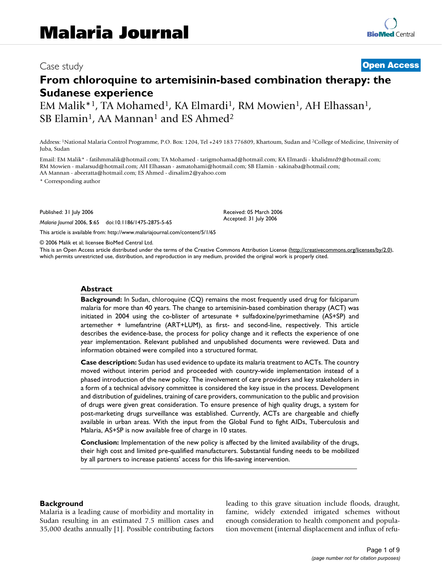# Case study **[Open Access](http://www.biomedcentral.com/info/about/charter/)**

# **From chloroquine to artemisinin-based combination therapy: the Sudanese experience**

EM Malik<sup>\*1</sup>, TA Mohamed<sup>1</sup>, KA Elmardi<sup>1</sup>, RM Mowien<sup>1</sup>, AH Elhassan<sup>1</sup>, SB Elamin<sup>1</sup>, AA Mannan<sup>1</sup> and ES Ahmed<sup>2</sup>

Address: 1National Malaria Control Programme, P.O. Box: 1204, Tel +249 183 776809, Khartoum, Sudan and 2College of Medicine, University of Juba, Sudan

Email: EM Malik\* - fatihmmalik@hotmail.com; TA Mohamed - tarigmohamad@hotmail.com; KA Elmardi - khalidmrd9@hotmail.com; RM Mowien - malarsud@hotmail.com; AH Elhassan - asmatohami@hotmail.com; SB Elamin - sakinaba@hotmail.com; AA Mannan - abeeratta@hotmail.com; ES Ahmed - dirsalim2@yahoo.com

\* Corresponding author

Published: 31 July 2006

*Malaria Journal* 2006, **5**:65 doi:10.1186/1475-2875-5-65

[This article is available from: http://www.malariajournal.com/content/5/1/65](http://www.malariajournal.com/content/5/1/65)

© 2006 Malik et al; licensee BioMed Central Ltd.

This is an Open Access article distributed under the terms of the Creative Commons Attribution License [\(http://creativecommons.org/licenses/by/2.0\)](http://creativecommons.org/licenses/by/2.0), which permits unrestricted use, distribution, and reproduction in any medium, provided the original work is properly cited.

Received: 05 March 2006 Accepted: 31 July 2006

#### **Abstract**

**Background:** In Sudan, chloroquine (CQ) remains the most frequently used drug for falciparum malaria for more than 40 years. The change to artemisinin-based combination therapy (ACT) was initiated in 2004 using the co-blister of artesunate + sulfadoxine/pyrimethamine (AS+SP) and artemether + lumefantrine (ART+LUM), as first- and second-line, respectively. This article describes the evidence-base, the process for policy change and it reflects the experience of one year implementation. Relevant published and unpublished documents were reviewed. Data and information obtained were compiled into a structured format.

**Case description:** Sudan has used evidence to update its malaria treatment to ACTs. The country moved without interim period and proceeded with country-wide implementation instead of a phased introduction of the new policy. The involvement of care providers and key stakeholders in a form of a technical advisory committee is considered the key issue in the process. Development and distribution of guidelines, training of care providers, communication to the public and provision of drugs were given great consideration. To ensure presence of high quality drugs, a system for post-marketing drugs surveillance was established. Currently, ACTs are chargeable and chiefly available in urban areas. With the input from the Global Fund to fight AIDs, Tuberculosis and Malaria, AS+SP is now available free of charge in 10 states.

**Conclusion:** Implementation of the new policy is affected by the limited availability of the drugs, their high cost and limited pre-qualified manufacturers. Substantial funding needs to be mobilized by all partners to increase patients' access for this life-saving intervention.

#### **Background**

Malaria is a leading cause of morbidity and mortality in Sudan resulting in an estimated 7.5 million cases and 35,000 deaths annually [1]. Possible contributing factors leading to this grave situation include floods, draught, famine, widely extended irrigated schemes without enough consideration to health component and population movement (internal displacement and influx of refu-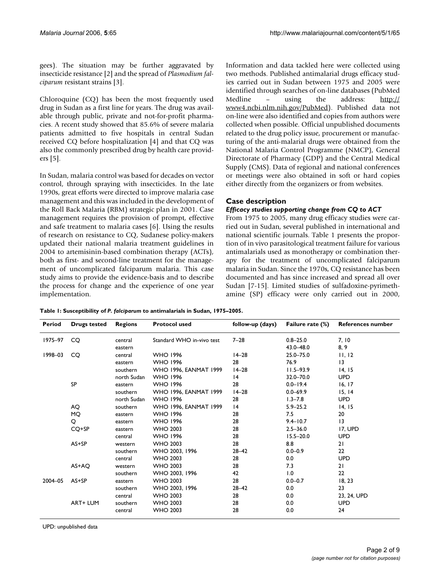gees). The situation may be further aggravated by insecticide resistance [[2\]](#page-7-0) and the spread of *Plasmodium falciparum* resistant strains [3].

Chloroquine (CQ) has been the most frequently used drug in Sudan as a first line for years. The drug was available through public, private and not-for-profit pharmacies. A recent study showed that 85.6% of severe malaria patients admitted to five hospitals in central Sudan received CQ before hospitalization [4] and that CQ was also the commonly prescribed drug by health care providers [5].

In Sudan, malaria control was based for decades on vector control, through spraying with insecticides. In the late 1990s, great efforts were directed to improve malaria case management and this was included in the development of the Roll Back Malaria (RBM) strategic plan in 2001. Case management requires the provision of prompt, effective and safe treatment to malaria cases [6]. Using the results of research on resistance to CQ, Sudanese policy-makers updated their national malaria treatment guidelines in 2004 to artemisinin-based combination therapy (ACTs), both as first- and second-line treatment for the management of uncomplicated falciparum malaria. This case study aims to provide the evidence-basis and to describe the process for change and the experience of one year implementation.

Information and data tackled here were collected using two methods. Published antimalarial drugs efficacy studies carried out in Sudan between 1975 and 2005 were identified through searches of on-line databases (PubMed Medline – using the address: [http://](http://www4.ncbi.nlm.nih.gov/PubMed) [www4.ncbi.nlm.nih.gov/PubMed](http://www4.ncbi.nlm.nih.gov/PubMed)). Published data not on-line were also identified and copies from authors were collected when possible. Official unpublished documents related to the drug policy issue, procurement or manufacturing of the anti-malarial drugs were obtained from the National Malaria Control Programme (NMCP), General Directorate of Pharmacy (GDP) and the Central Medical Supply (CMS). Data of regional and national conferences or meetings were also obtained in soft or hard copies either directly from the organizers or from websites.

### **Case description**

#### *Efficacy studies supporting change from CQ to ACT*

From 1975 to 2005, many drug efficacy studies were carried out in Sudan, several published in international and national scientific journals. Table 1 presents the proportion of in vivo parasitological treatment failure for various antimalarials used as monotherapy or combination therapy for the treatment of uncomplicated falciparum malaria in Sudan. Since the 1970s, CQ resistance has been documented and has since increased and spread all over Sudan [\[7-](#page-7-1)15]. Limited studies of sulfadoxine-pyrimethamine (SP) efficacy were only carried out in 2000,

| Table 1: Susceptibility of P. falciparum to antimalarials in Sudan, 1975–2005. |  |
|--------------------------------------------------------------------------------|--|
|--------------------------------------------------------------------------------|--|

| Period      | <b>Drugs tested</b> | <b>Regions</b> | <b>Protocol used</b>         | follow-up (days) | Failure rate (%) | References number |
|-------------|---------------------|----------------|------------------------------|------------------|------------------|-------------------|
| $1975 - 97$ | CO.                 | central        | Standard WHO in-vivo test    | $7 - 28$         | $0.8 - 25.0$     | 7,10              |
|             |                     | eastern        |                              |                  | 43.0 - 48.0      | 8, 9              |
| 1998-03     | CO.                 | central        | <b>WHO 1996</b>              | $14 - 28$        | $25.0 - 75.0$    | 11, 12            |
|             |                     | eastern        | <b>WHO 1996</b>              | 28               | 76.9             | 13                |
|             |                     | southern       | <b>WHO 1996, EANMAT 1999</b> | $14 - 28$        | $11.5 - 93.9$    | 14, 15            |
|             |                     | north Sudan    | <b>WHO 1996</b>              | 4                | 32.0-70.0        | <b>UPD</b>        |
|             | <b>SP</b>           | eastern        | <b>WHO 1996</b>              | 28               | $0.0 - 19.4$     | 16, 17            |
|             |                     | southern       | <b>WHO 1996, EANMAT 1999</b> | $14 - 28$        | $0.0 - 69.9$     | 15, 14            |
|             |                     | north Sudan    | <b>WHO 1996</b>              | 28               | $1.3 - 7.8$      | <b>UPD</b>        |
|             | AQ.                 | southern       | <b>WHO 1996, EANMAT 1999</b> | 4                | $5.9 - 25.2$     | 14, 15            |
|             | MQ                  | eastern        | <b>WHO 1996</b>              | 28               | 7.5              | 20                |
|             | Q                   | eastern        | <b>WHO 1996</b>              | 28               | $9.4 - 10.7$     | 13                |
|             | CQ+SP               | eastern        | <b>WHO 2003</b>              | 28               | $2.5 - 36.0$     | 17, UPD           |
|             |                     | central        | <b>WHO 1996</b>              | 28               | $15.5 - 20.0$    | <b>UPD</b>        |
|             | $AS+SP$             | western        | <b>WHO 2003</b>              | 28               | 8.8              | 21                |
|             |                     | southern       | WHO 2003, 1996               | $28 - 42$        | $0.0 - 0.9$      | 22                |
|             |                     | central        | <b>WHO 2003</b>              | 28               | 0.0              | <b>UPD</b>        |
|             | AS+AQ               | western        | <b>WHO 2003</b>              | 28               | 7.3              | 21                |
|             |                     | southern       | WHO 2003, 1996               | 42               | 1.0              | 22                |
| 2004-05     | $AS+SP$             | eastern        | <b>WHO 2003</b>              | 28               | $0.0 - 0.7$      | 18, 23            |
|             |                     | southern       | WHO 2003, 1996               | $28 - 42$        | 0.0              | 23                |
|             |                     | central        | <b>WHO 2003</b>              | 28               | 0.0              | 23, 24, UPD       |
|             | ART+ LUM            | southern       | <b>WHO 2003</b>              | 28               | 0.0              | <b>UPD</b>        |
|             |                     | central        | <b>WHO 2003</b>              | 28               | 0.0              | 24                |

UPD: unpublished data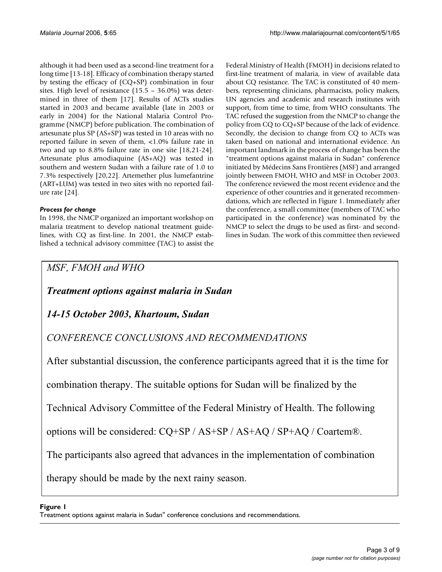although it had been used as a second-line treatment for a long time [13-18]. Efficacy of combination therapy started by testing the efficacy of (CQ+SP) combination in four sites. High level of resistance (15.5 – 36.0%) was determined in three of them [17]. Results of ACTs studies started in 2003 and became available (late in 2003 or early in 2004) for the National Malaria Control Programme (NMCP) before publication. The combination of artesunate plus SP (AS+SP) was tested in 10 areas with no reported failure in seven of them, <1.0% failure rate in two and up to 8.8% failure rate in one site [18,21-24]. Artesunate plus amodiaquine (AS+AQ) was tested in southern and western Sudan with a failure rate of 1.0 to 7.3% respectively [20,22]. Artemether plus lumefantrine (ART+LUM) was tested in two sites with no reported failure rate [24].

### *Process for change*

In 1998, the NMCP organized an important workshop on malaria treatment to develop national treatment guidelines, with CQ as first-line. In 2001, the NMCP established a technical advisory committee (TAC) to assist the Federal Ministry of Health (FMOH) in decisions related to first-line treatment of malaria, in view of available data about CQ resistance. The TAC is constituted of 40 members, representing clinicians, pharmacists, policy makers, UN agencies and academic and research institutes with support, from time to time, from WHO consultants. The TAC refused the suggestion from the NMCP to change the policy from CQ to CQ+SP because of the lack of evidence. Secondly, the decision to change from CQ to ACTs was taken based on national and international evidence. An important landmark in the process of change has been the "treatment options against malaria in Sudan" conference initiated by Médecins Sans Frontières (MSF) and arranged jointly between FMOH, WHO and MSF in October 2003. The conference reviewed the most recent evidence and the experience of other countries and it generated recommendations, which are reflected in Figure 1. Immediately after the conference, a small committee (members of TAC who participated in the conference) was nominated by the NMCP to select the drugs to be used as first- and secondlines in Sudan. The work of this committee then reviewed

# MSF, FMOH and WHO

Treatment options against malaria in Sudan

# 14-15 October 2003, Khartoum, Sudan

CONFERENCE CONCLUSIONS AND RECOMMENDATIONS

After substantial discussion, the conference participants agreed that it is the time for

combination therapy. The suitable options for Sudan will be finalized by the

Technical Advisory Committee of the Federal Ministry of Health. The following

options will be considered: CQ+SP / AS+SP / AS+AQ / SP+AQ / Coartem®.

The participants also agreed that advances in the implementation of combination

therapy should be made by the next rainy season.

Treatment options against mala **Figure 1** ria in Sudan" conference conclusions and recommendations

Treatment options against malaria in Sudan" conference conclusions and recommendations.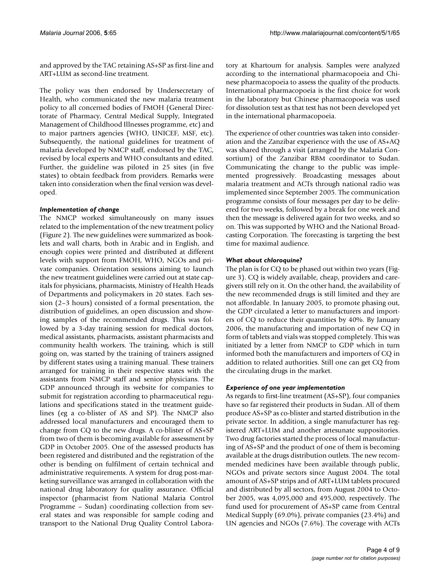and approved by the TAC retaining AS+SP as first-line and ART+LUM as second-line treatment.

The policy was then endorsed by Undersecretary of Health, who communicated the new malaria treatment policy to all concerned bodies of FMOH (General Directorate of Pharmacy, Central Medical Supply, Integrated Management of Childhood Illnesses programme, etc) and to major partners agencies (WHO, UNICEF, MSF, etc). Subsequently, the national guidelines for treatment of malaria developed by NMCP staff, endorsed by the TAC, revised by local experts and WHO consultants and edited. Further, the guideline was piloted in 25 sites (in five states) to obtain feedback from providers. Remarks were taken into consideration when the final version was developed.

#### *Implementation of change*

The NMCP worked simultaneously on many issues related to the implementation of the new treatment policy (Figure 2). The new guidelines were summarized as booklets and wall charts, both in Arabic and in English, and enough copies were printed and distributed at different levels with support from FMOH, WHO, NGOs and private companies. Orientation sessions aiming to launch the new treatment guidelines were carried out at state capitals for physicians, pharmacists, Ministry of Health Heads of Departments and policymakers in 20 states. Each session (2–3 hours) consisted of a formal presentation, the distribution of guidelines, an open discussion and showing samples of the recommended drugs. This was followed by a 3-day training session for medical doctors, medical assistants, pharmacists, assistant pharmacists and community health workers. The training, which is still going on, was started by the training of trainers assigned by different states using a training manual. These trainers arranged for training in their respective states with the assistants from NMCP staff and senior physicians. The GDP announced through its website for companies to submit for registration according to pharmaceutical regulations and specifications stated in the treatment guidelines (eg a co-blister of AS and SP). The NMCP also addressed local manufacturers and encouraged them to change from CQ to the new drugs. A co-blister of AS+SP from two of them is becoming available for assessment by GDP in October 2005. One of the assessed products has been registered and distributed and the registration of the other is bending on fulfilment of certain technical and administrative requirements. A system for drug post-marketing surveillance was arranged in collaboration with the national drug laboratory for quality assurance. Official inspector (pharmacist from National Malaria Control Programme – Sudan) coordinating collection from several states and was responsible for sample coding and transport to the National Drug Quality Control Laboratory at Khartoum for analysis. Samples were analyzed according to the international pharmacopoeia and Chinese pharmacopoeia to assess the quality of the products. International pharmacopoeia is the first choice for work in the laboratory but Chinese pharmacopoeia was used for dissolution test as that test has not been developed yet in the international pharmacopoeia.

The experience of other countries was taken into consideration and the Zanzibar experience with the use of AS+AQ was shared through a visit (arranged by the Malaria Consortium) of the Zanzibar RBM coordinator to Sudan. Communicating the change to the public was implemented progressively. Broadcasting messages about malaria treatment and ACTs through national radio was implemented since September 2005. The communication programme consists of four messages per day to be delivered for two weeks, followed by a break for one week and then the message is delivered again for two weeks, and so on. This was supported by WHO and the National Broadcasting Corporation. The forecasting is targeting the best time for maximal audience.

#### *What about chloroquine?*

The plan is for CQ to be phased out within two years (Figure 3). CQ is widely available, cheap, providers and caregivers still rely on it. On the other hand, the availability of the new recommended drugs is still limited and they are not affordable. In January 2005, to promote phasing out, the GDP circulated a letter to manufacturers and importers of CQ to reduce their quantities by 40%. By January 2006, the manufacturing and importation of new CQ in form of tablets and vials was stopped completely. This was initiated by a letter from NMCP to GDP which in turn informed both the manufacturers and importers of CQ in addition to related authorities. Still one can get CQ from the circulating drugs in the market.

#### *Experience of one year implementation*

As regards to first-line treatment (AS+SP), four companies have so far registered their products in Sudan. All of them produce AS+SP as co-blister and started distribution in the private sector. In addition, a single manufacturer has registered ART+LUM and another artesunate suppositories. Two drug factories started the process of local manufacturing of AS+SP and the product of one of them is becoming available at the drugs distribution outlets. The new recommended medicines have been available through public, NGOs and private sectors since August 2004. The total amount of AS+SP strips and of ART+LUM tablets procured and distributed by all sectors, from August 2004 to October 2005, was 4,095,000 and 495,000, respectively. The fund used for procurement of AS+SP came from Central Medical Supply (69.0%), private companies (23.4%) and UN agencies and NGOs (7.6%). The coverage with ACTs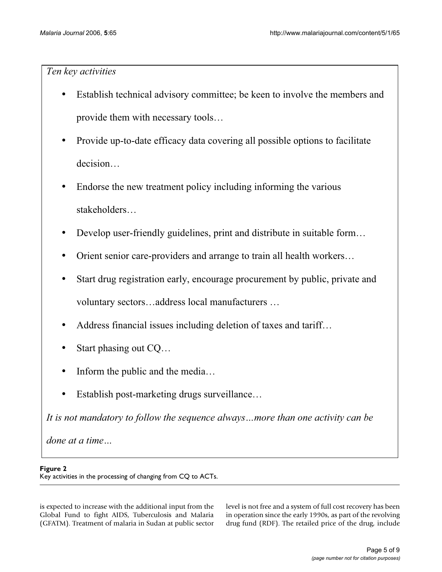# Ten key activities

- Establish technical advisory committee; be keen to involve the members and provide them with necessary tools…
- Provide up-to-date efficacy data covering all possible options to facilitate decision…
- Endorse the new treatment policy including informing the various stakeholders…
- Develop user-friendly guidelines, print and distribute in suitable form…
- Orient senior care-providers and arrange to train all health workers…
- Start drug registration early, encourage procurement by public, private and voluntary sectors…address local manufacturers …
- Address financial issues including deletion of taxes and tariff...
- Start phasing out CQ...
- Inform the public and the media...
- Establish post-marketing drugs surveillance...

It is not mandatory to follow the sequence always…more than one activity can be

done at a time…

## **Figure 2**

Key activities in the processing of changing from CQ to ACTs.

is expected to increase with the additional input from the Global Fund to fight AIDS, Tuberculosis and Malaria (GFATM). Treatment of malaria in Sudan at public sector

level is not free and a system of full cost recovery has been in operation since the early 1990s, as part of the revolving drug fund (RDF). The retailed price of the drug, include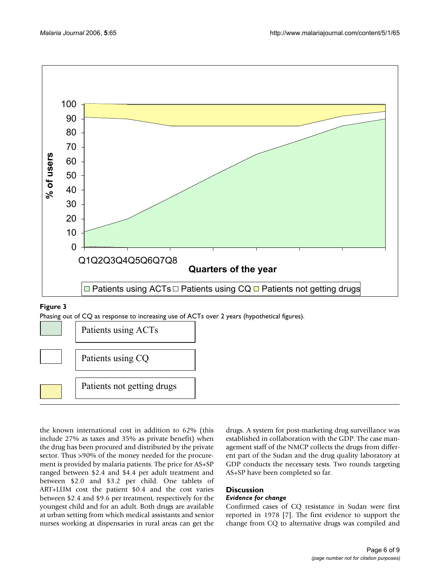



the known international cost in addition to 62% (this include 27% as taxes and 35% as private benefit) when the drug has been procured and distributed by the private sector. Thus >90% of the money needed for the procurement is provided by malaria patients. The price for AS+SP ranged between \$2.4 and \$4.4 per adult treatment and between \$2.0 and \$3.2 per child. One tablets of ART+LUM cost the patient \$0.4 and the cost varies between \$2.4 and \$9.6 per treatment, respectively for the youngest child and for an adult. Both drugs are available at urban setting from which medical assistants and senior nurses working at dispensaries in rural areas can get the drugs. A system for post-marketing drug surveillance was established in collaboration with the GDP. The case management staff of the NMCP collects the drugs from different part of the Sudan and the drug quality laboratory at GDP conducts the necessary tests. Two rounds targeting AS+SP have been completed so far.

## **Discussion**

#### *Evidence for change*

Confirmed cases of CQ resistance in Sudan were first reported in 1978 [[7](#page-7-1)]. The first evidence to support the change from CQ to alternative drugs was compiled and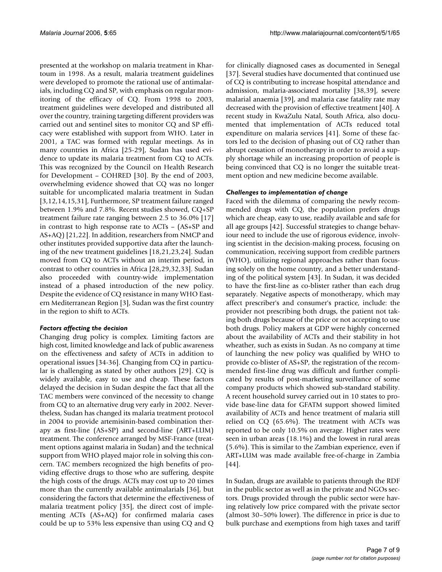presented at the workshop on malaria treatment in Khartoum in 1998. As a result, malaria treatment guidelines were developed to promote the rational use of antimalarials, including CQ and SP, with emphasis on regular monitoring of the efficacy of CQ. From 1998 to 2003, treatment guidelines were developed and distributed all over the country, training targeting different providers was carried out and sentinel sites to monitor CQ and SP efficacy were established with support from WHO. Later in 2001, a TAC was formed with regular meetings. As in many countries in Africa [25-29], Sudan has used evidence to update its malaria treatment from CQ to ACTs. This was recognized by the Council on Health Research for Development – COHRED [30]. By the end of 2003, overwhelming evidence showed that CQ was no longer suitable for uncomplicated malaria treatment in Sudan [3,12,14,15,[31](#page-8-0)], Furthermore, SP treatment failure ranged between 1.9% and 7.8%. Recent studies showed, CQ+SP treatment failure rate ranging between 2.5 to 36.0% [17] in contrast to high response rate to ACTs – (AS+SP and AS+AQ) [21,22]. In addition, researchers from NMCP and other institutes provided supportive data after the launching of the new treatment guidelines [18,21,23,24]. Sudan moved from CQ to ACTs without an interim period, in contrast to other countries in Africa [28,29,32,33]. Sudan also proceeded with country-wide implementation instead of a phased introduction of the new policy. Despite the evidence of CQ resistance in many WHO Eastern Mediterranean Region [3], Sudan was the first country in the region to shift to ACTs.

#### *Factors affecting the decision*

Changing drug policy is complex. Limiting factors are high cost, limited knowledge and lack of public awareness on the effectiveness and safety of ACTs in addition to operational issues [34-36]. Changing from CQ in particular is challenging as stated by other authors [29]. CQ is widely available, easy to use and cheap. These factors delayed the decision in Sudan despite the fact that all the TAC members were convinced of the necessity to change from CQ to an alternative drug very early in 2002. Nevertheless, Sudan has changed its malaria treatment protocol in 2004 to provide artemisinin-based combination therapy as first-line (AS+SP) and second-line (ART+LUM) treatment. The conference arranged by MSF-France (treatment options against malaria in Sudan) and the technical support from WHO played major role in solving this concern. TAC members recognized the high benefits of providing effective drugs to those who are suffering, despite the high costs of the drugs. ACTs may cost up to 20 times more than the currently available antimalarials [36], but considering the factors that determine the effectiveness of malaria treatment policy [35], the direct cost of implementing ACTs (AS+AQ) for confirmed malaria cases could be up to 53% less expensive than using CQ and Q

for clinically diagnosed cases as documented in Senegal [37]. Several studies have documented that continued use of CQ is contributing to increase hospital attendance and admission, malaria-associated mortality [[38,](#page-8-1)39], severe malarial anaemia [39], and malaria case fatality rate may decreased with the provision of effective treatment [40]. A recent study in KwaZulu Natal, South Africa, also documented that implementation of ACTs reduced total expenditure on malaria services [41]. Some of these factors led to the decision of phasing out of CQ rather than abrupt cessation of monotherapy in order to avoid a supply shortage while an increasing proportion of people is being convinced that CQ is no longer the suitable treatment option and new medicine become available.

#### *Challenges to implementation of change*

Faced with the dilemma of comparing the newly recommended drugs with CQ, the population prefers drugs which are cheap, easy to use, readily available and safe for all age groups [42]. Successful strategies to change behaviour need to include the use of rigorous evidence, involving scientist in the decision-making process, focusing on communication, receiving support from credible partners (WHO), utilizing regional approaches rather than focusing solely on the home country, and a better understanding of the political system [43]. In Sudan, it was decided to have the first-line as co-blister rather than each drug separately. Negative aspects of monotherapy, which may affect prescriber's and consumer's practice, include: the provider not prescribing both drugs, the patient not taking both drugs because of the price or not accepting to use both drugs. Policy makers at GDP were highly concerned about the availability of ACTs and their stability in hot wheather, such as exists in Sudan. As no company at time of launching the new policy was qualified by WHO to provide co-blister of AS+SP, the registration of the recommended first-line drug was difficult and further complicated by results of post-marketing surveillance of some company products which showed sub-standard stability. A recent household survey carried out in 10 states to provide base-line data for GFATM support showed limited availability of ACTs and hence treatment of malaria still relied on CQ (65.6%). The treatment with ACTs was reported to be only 10.5% on average. Higher rates were seen in urban areas (18.1%) and the lowest in rural areas (5.6%). This is similar to the Zambian experience, even if ART+LUM was made available free-of-charge in Zambia [44].

In Sudan, drugs are available to patients through the RDF in the public sector as well as in the private and NGOs sectors. Drugs provided through the public sector were having relatively low price compared with the private sector (almost 30–50% lower). The difference in price is due to bulk purchase and exemptions from high taxes and tariff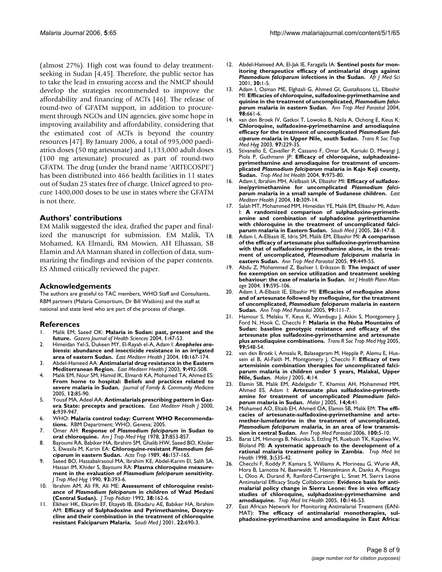(almost 27%). High cost was found to delay treatmentseeking in Sudan [4,45]. Therefore, the public sector has to take the lead in ensuring access and the NMCP should develop the strategies recommended to improve the affordability and financing of ACTs [46]. The release of round-two of GFATM support, in addition to procurement through NGOs and UN agencies, give some hope in improving availability and affordability, considering that the estimated cost of ACTs is beyond the country resources [47]. By January 2006, a total of 995,000 paediatrics doses (50 mg artesunate) and 1,133,000 adult doses (100 mg artesunate) procured as part of round-two GFATM. The drug (under the brand name 'ARTECOSPE') has been distributed into 466 health facilities in 11 states out of Sudan 25 states free of charge. Unicef agreed to procure 1400,000 doses to be use in states where the GFATM is not there.

#### **Authors' contributions**

EM Malik suggested the idea, drafted the paper and finalized the manuscript for submission. EM Malik, TA Mohamed, KA Elmardi, RM Mowien, AH Elhassan, SB Elamin and AA Mannan shared in collection of data, summarizing the findings and revision of the paper contents. ES Ahmed critically reviewed the paper.

#### **Acknowledgements**

The authors are grateful to TAC members, WHO Staff and Consultants, RBM partners (Malaria Consortium, Dr Bill Watkins) and the staff at national and state level who are part of the process of change.

#### **References**

- 1. Malik EM, Saeed OK: **Malaria in Sudan: past, present and the future.** *Gazera Journal of Health Sciences* 2004, **1:**47-53.
- <span id="page-7-0"></span>2. Himeidan Yel-S, Dukeen MY, El-Rayah el-A, Adam I: *Anopheles arabiensis***[: abundance and insecticide resistance in an irrigated](http://www.ncbi.nlm.nih.gov/entrez/query.fcgi?cmd=Retrieve&db=PubMed&dopt=Abstract&list_uids=16201723) [area of eastern Sudan.](http://www.ncbi.nlm.nih.gov/entrez/query.fcgi?cmd=Retrieve&db=PubMed&dopt=Abstract&list_uids=16201723)** *East Mediterr Health J* 2004, **10:**167-174.
- 3. Abdel-Hameed AA: **[Antimalarial drug resistance in the Eastern](http://www.ncbi.nlm.nih.gov/entrez/query.fcgi?cmd=Retrieve&db=PubMed&dopt=Abstract&list_uids=15748047) [Mediterranean Region.](http://www.ncbi.nlm.nih.gov/entrez/query.fcgi?cmd=Retrieve&db=PubMed&dopt=Abstract&list_uids=15748047)** *East Mediterr Health J* 2003, **9:**492-508.
- Malik EM, Nour SM, Hamid IK, Elmardi KA, Mohamed TA, Ahmed ES: **From home to hospital: Beliefs and practices related to severe malaria in Sudan.** *Journal of Family & Community Medicine* 2005, **12:**85-90.
- 5. Yousif MA, Adeel AA: **Antimalarials prescribing pattern in Gazera State: precepts and practices.** *East Mediterr Healh J* 2000, **6:**939-947.
- 6. WHO: **Malaria control today: Current WHO Recommendations.** RBM Department; WHO, Geneva; 2005.
- <span id="page-7-1"></span>7. Omer AH: **Response of** *Plasmodium falciparum* **[in Sudan to](http://www.ncbi.nlm.nih.gov/entrez/query.fcgi?cmd=Retrieve&db=PubMed&dopt=Abstract&list_uids=362953) [oral chloroquine.](http://www.ncbi.nlm.nih.gov/entrez/query.fcgi?cmd=Retrieve&db=PubMed&dopt=Abstract&list_uids=362953)** *Am J Trop Med Hyg* 1978, **27:**853-857.
- 8. Bayoumi RA, Babiker HA, Ibrahim SM, Ghalib HW, Saeed BO, Khider S, Elwasila M, Karim EA: **Chloroquine-resistant** *Plasmodium falciparum* **[in eastern Sudan.](http://www.ncbi.nlm.nih.gov/entrez/query.fcgi?cmd=Retrieve&db=PubMed&dopt=Abstract&list_uids=2566268)** *Acta Trop* 1989, **46:**157-165.
- Saeed BO, Hassabalrasoul MA, Ibrahim KE, Abdel-Karim EI, Salih SA, Hassan IM, Khider S, Bayoumi RA: **Plasma chloroquine measurement in the evaluation of** *Plasmodium falciparum* **[sensitivity.](http://www.ncbi.nlm.nih.gov/entrez/query.fcgi?cmd=Retrieve&db=PubMed&dopt=Abstract&list_uids=2270003)** *J Trop Med Hyg* 1990, **93:**393-6.
- 10. Ibrahim AM, Ali FR, Ali ME: **Assessment of chloroquine resistance of** *Plasmodium falciparum* **[in children of Wad Medani](http://www.ncbi.nlm.nih.gov/entrez/query.fcgi?cmd=Retrieve&db=PubMed&dopt=Abstract&list_uids=1527810) [\(Central Sudan\).](http://www.ncbi.nlm.nih.gov/entrez/query.fcgi?cmd=Retrieve&db=PubMed&dopt=Abstract&list_uids=1527810)** *J Trop Pediatr* 1992, **38:**162-6.
- 11. Elkheir HK, Elkarim EF, Eltayeb IB, Elkadaru AE, Babiker HA, Ibrahim AM: **[Efficacy of Sulphadoxine and Pyrimethamine, Doxycy](http://www.ncbi.nlm.nih.gov/entrez/query.fcgi?cmd=Retrieve&db=PubMed&dopt=Abstract&list_uids=11573114)[cline and their combination in the treatment of chloroquine](http://www.ncbi.nlm.nih.gov/entrez/query.fcgi?cmd=Retrieve&db=PubMed&dopt=Abstract&list_uids=11573114) [resistant Falciparum Malaria.](http://www.ncbi.nlm.nih.gov/entrez/query.fcgi?cmd=Retrieve&db=PubMed&dopt=Abstract&list_uids=11573114)** *Saudi Med J* 2001, **22:**690-3.
- 12. Abdel-Hameed AA, El-Jak IE, Faragalla IA: **Sentinel posts for monitoring therapeutice efficacy of antimalarial drugs against** *Plasmodium falciparum* **infections in the Sudan.** *Afr J Med Sci* 2001, **30:**1-5.
- 13. Adam I, Osman ME, Elghzali G, Ahmed GI, Gustafssons LL, Elbashir MI: **Efficacies of chloroquine, sulfadoxine-pyrimethamine and quinine in the treatment of uncomplicated,** *Plasmodium falciparum* **[malaria in eastern Sudan.](http://www.ncbi.nlm.nih.gov/entrez/query.fcgi?cmd=Retrieve&db=PubMed&dopt=Abstract&list_uids=15509420)** *Ann Trop Med Parasitol* 2004, **98:**661-6.
- 14. van den Broek IV, Gatkoi T, Lowoko B, Nzila A, Ochong E, Keus K: **Chloroquine, sulfadoxine-pyrimethamine and amodiaquine efficacy for the treatment of uncomplicated** *Plasmodium falciparum* **[malaria in Upper Nile, south Sudan.](http://www.ncbi.nlm.nih.gov/entrez/query.fcgi?cmd=Retrieve&db=PubMed&dopt=Abstract&list_uids=14584383)** *Trans R Soc Trop Med Hyg* 2003, **97:**229-35.
- 15. Stivanello E, Cavailler P, Cassano F, Omar SA, Kariuki D, Mwangi J, Piola P, Guthmann JP: **Efficacy of chloroquine, sulphadoxinepyrimethamine and amodiaquine for treatment of uncomplicated** *Plasmodium falciparum* **[malaria in Kajo Keji county,](http://www.ncbi.nlm.nih.gov/entrez/query.fcgi?cmd=Retrieve&db=PubMed&dopt=Abstract&list_uids=15361110) [Sudan.](http://www.ncbi.nlm.nih.gov/entrez/query.fcgi?cmd=Retrieve&db=PubMed&dopt=Abstract&list_uids=15361110)** *Trop Med Int Health* 2004, **9:**975-80.
- 16. Adam I, Ibrahim MH, A/elbasit IA, Elbashir MI: **Efficacy of sulfadoxine/pyrimethamine for uncomplicated** *Plasmodium falciparum* **[malaria in a small sample of Sudanese children.](http://www.ncbi.nlm.nih.gov/entrez/query.fcgi?cmd=Retrieve&db=PubMed&dopt=Abstract&list_uids=16212206)** *East Mediterr Health J* 2004, **10:**309-14.
- 17. Salah MT, Mohammed MM, Himeidan YE, Malik EM, Elbashir MI, Adam I: **[A randomized comparison of sulphadoxine-pyrimeth](http://www.ncbi.nlm.nih.gov/entrez/query.fcgi?cmd=Retrieve&db=PubMed&dopt=Abstract&list_uids=15756376)[amine and combination of sulphadoxine pyrimethamine](http://www.ncbi.nlm.nih.gov/entrez/query.fcgi?cmd=Retrieve&db=PubMed&dopt=Abstract&list_uids=15756376) with chloroquine in the treatment of uncomplicated falci[parum malaria in Eastern Sudan.](http://www.ncbi.nlm.nih.gov/entrez/query.fcgi?cmd=Retrieve&db=PubMed&dopt=Abstract&list_uids=15756376)** *Saudi Med J* 2005, **26:**147-8.
- 18. Adam I, A-Elbasit IE, Idris SM, Malik EM, Elbashir MI: **A comparison of the efficacy of artesunate plus sulfadoxine-pyrimethamine with that of sulfadoxine-pyrimethamine alone, in the treatment of uncomplicated,** *Plasmodium falciparum* **[malaria in](http://www.ncbi.nlm.nih.gov/entrez/query.fcgi?cmd=Retrieve&db=PubMed&dopt=Abstract&list_uids=16004704) [eastern Sudan.](http://www.ncbi.nlm.nih.gov/entrez/query.fcgi?cmd=Retrieve&db=PubMed&dopt=Abstract&list_uids=16004704)** *Ann Trop Med Parasitol* 2005, **99:**449-55.
- 19. Abdu Z, Mohammed Z, Bashier I, Eriksson B: **[The impact of user](http://www.ncbi.nlm.nih.gov/entrez/query.fcgi?cmd=Retrieve&db=PubMed&dopt=Abstract&list_uids=15686063) [fee exemption on service utilization and treatment seeking](http://www.ncbi.nlm.nih.gov/entrez/query.fcgi?cmd=Retrieve&db=PubMed&dopt=Abstract&list_uids=15686063) [behaviour: the case of malaria in Sudan.](http://www.ncbi.nlm.nih.gov/entrez/query.fcgi?cmd=Retrieve&db=PubMed&dopt=Abstract&list_uids=15686063)** *Int J Health Plann Manage* 2004, **19:**S95-106.
- 20. Adam I, A-Elbasit IE, Elbashir MI: **Efficacies of mefloquine alone and of artesunate followed by mefloquine, for the treatment of uncomplicated,** *Plasmodium falciparum* **[malaria in eastern](http://www.ncbi.nlm.nih.gov/entrez/query.fcgi?cmd=Retrieve&db=PubMed&dopt=Abstract&list_uids=15814029) [Sudan.](http://www.ncbi.nlm.nih.gov/entrez/query.fcgi?cmd=Retrieve&db=PubMed&dopt=Abstract&list_uids=15814029)** *Ann Trop Med Parasitol* 2005, **99:**111-7.
- 21. Hamour S, Melaku Y, Keus K, Wambugu J, Atkin S, Montgomery J, Ford N, Hook C, Checchi F: **[Malaria in the Nuba Mountains of](http://www.ncbi.nlm.nih.gov/entrez/query.fcgi?cmd=Retrieve&db=PubMed&dopt=Abstract&list_uids=15869770) [Sudan: baseline genotypic resistance and efficacy of the](http://www.ncbi.nlm.nih.gov/entrez/query.fcgi?cmd=Retrieve&db=PubMed&dopt=Abstract&list_uids=15869770) artesunate plus sulfadoxine-pyrimethamine and artesunate [plus amodiaquine combinations.](http://www.ncbi.nlm.nih.gov/entrez/query.fcgi?cmd=Retrieve&db=PubMed&dopt=Abstract&list_uids=15869770)** *Trans R Soc Trop Med Hyg* 2005, **99:**548-54.
- 22. van den Broek I, Amsalu R, Balasegaram M, Hepple P, Alemu E, Hussein el B, Al-Faith M, Montgomery J, Checchi F: **[Efficacy of two](http://www.ncbi.nlm.nih.gov/entrez/query.fcgi?cmd=Retrieve&db=PubMed&dopt=Abstract&list_uids=15730557) [artemisinin combination therapies for uncomplicated falci](http://www.ncbi.nlm.nih.gov/entrez/query.fcgi?cmd=Retrieve&db=PubMed&dopt=Abstract&list_uids=15730557)parum malaria in children under 5 years, Malakal, Upper [Nile, Sudan.](http://www.ncbi.nlm.nih.gov/entrez/query.fcgi?cmd=Retrieve&db=PubMed&dopt=Abstract&list_uids=15730557)** *Malar J* 2005, **4:**14.
- 23. Elamin SB, Malik EM, Abdelgadir T, Khamiss AH, Mohammed MM, Ahmed ES, Adam I: **Artesunate plus sulfadoxine-pyrimethamine for treatment of uncomplicated** *Plasmodium falciparum* **malaria in Sudan.** *Malar J* 2005, **14;4:**41.
- 24. Mohamed AO, Eltaib EH, Ahmed OA, Elamin SB, Malik EM: **The efficacies of artesunate-sulfadoxine-pyrimethamine and artemether-lumefantrine in the treatment of uncomplicated,** *Plasmodium falciparum* **[malaria, in an area of low transmis](http://www.ncbi.nlm.nih.gov/entrez/query.fcgi?cmd=Retrieve&db=PubMed&dopt=Abstract&list_uids=16417707)[sion in central Sudan.](http://www.ncbi.nlm.nih.gov/entrez/query.fcgi?cmd=Retrieve&db=PubMed&dopt=Abstract&list_uids=16417707)** *Ann Trop Med Parasitol* 2006, **100:**5-10.
- Barat LM, Himonga B, Nkunika S, Ettling M, Ruebush TK, Kapelwa W, Bloland PB: **[A systematic approach to the development of a](http://www.ncbi.nlm.nih.gov/entrez/query.fcgi?cmd=Retrieve&db=PubMed&dopt=Abstract&list_uids=9705187) [rational malaria treatment policy in Zambia.](http://www.ncbi.nlm.nih.gov/entrez/query.fcgi?cmd=Retrieve&db=PubMed&dopt=Abstract&list_uids=9705187)** *Trop Med Int Health* 1998, **3:**535-42.
- 26. Checchi F, Roddy P, Kamara S, Williams A, Morineau G, Wurie AR, Hora B, Lamotte N, Baerwaldt T, Heinzelmann A, Danks A, Pinoges L, Oloo A, Durand R, Ranford-Cartwright L, Smet M, Sierra Leone Antimalarial Efficacy Study Collaboration: **[Evidence basis for anti](http://www.ncbi.nlm.nih.gov/entrez/query.fcgi?cmd=Retrieve&db=PubMed&dopt=Abstract&list_uids=15679557)[malarial policy change in Sierra Leone: five in vivo efficacy](http://www.ncbi.nlm.nih.gov/entrez/query.fcgi?cmd=Retrieve&db=PubMed&dopt=Abstract&list_uids=15679557) studies of chloroquine, sulphadoxine-pyrimethamine and [amodiaquine.](http://www.ncbi.nlm.nih.gov/entrez/query.fcgi?cmd=Retrieve&db=PubMed&dopt=Abstract&list_uids=15679557)** *Trop Med Int Health* 2005, **10:**146-53.
- 27. East African Network for Monitoring Antimalarial Treatment (EAN-MAT): **[The efficacy of antimalarial monotherapies, sul](http://www.ncbi.nlm.nih.gov/entrez/query.fcgi?cmd=Retrieve&db=PubMed&dopt=Abstract&list_uids=14516296)[phadoxine-pyrimethamine and amodiaquine in East Africa:](http://www.ncbi.nlm.nih.gov/entrez/query.fcgi?cmd=Retrieve&db=PubMed&dopt=Abstract&list_uids=14516296)**